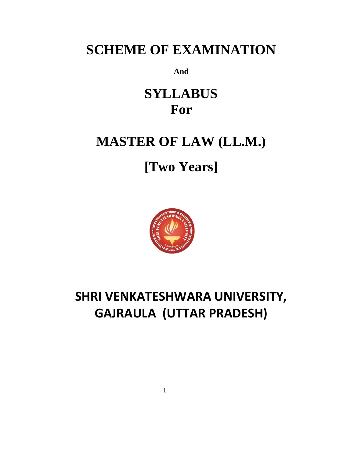## **SCHEME OF EXAMINATION**

**And**

## **SYLLABUS For**

## **MASTER OF LAW (LL.M.)**

# **[Two Years]**



## **SHRI VENKATESHWARA UNIVERSITY, GAJRAULA (UTTAR PRADESH)**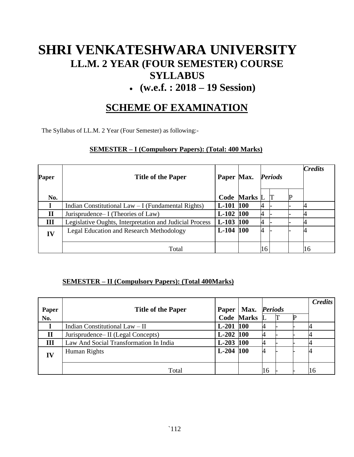## **SHRI VENKATESHWARA UNIVERSITY LL.M. 2 YEAR (FOUR SEMESTER) COURSE SYLLABUS**

### • **(w.e.f. : 2018 – 19 Session)**

### **SCHEME OF EXAMINATION**

The Syllabus of LL.M. 2 Year (Four Semester) as following:-

#### **SEMESTER – I (Compulsory Papers): (Total: 400 Marks)**

| Paper       | <b>Title of the Paper</b>                               | Paper Max. |                     | <b>Periods</b> |  | <b>Credits</b> |
|-------------|---------------------------------------------------------|------------|---------------------|----------------|--|----------------|
| No.         |                                                         |            | <b>Code Marks L</b> |                |  |                |
|             | Indian Constitutional Law $-I$ (Fundamental Rights)     | $L-101$    | 100                 | 4              |  |                |
| $\mathbf H$ | Jurisprudence– I (Theories of Law)                      | $L-102$    | <b>100</b>          | $\overline{4}$ |  |                |
| Ш           | Legislative Oughts, Interpretation and Judicial Process | $L-103$    | <b>100</b>          | 4              |  |                |
| IV          | <b>Legal Education and Research Methodology</b>         | $L-104$    | 100                 | 4              |  |                |
|             | Total                                                   |            |                     |                |  | 16             |

#### **SEMESTER – II (Compulsory Papers): (Total 400Marks)**

|              |                                        |              |                   |                |  |  | <b>Credits</b> |
|--------------|----------------------------------------|--------------|-------------------|----------------|--|--|----------------|
| Paper        | <b>Title of the Paper</b>              | <b>Paper</b> | Max.              | <b>Periods</b> |  |  |                |
| No.          |                                        |              | <b>Code Marks</b> |                |  |  |                |
|              | Indian Constitutional Law $-$ II       | $L-201$      | <b>100</b>        | 4              |  |  |                |
| $\mathbf{I}$ | Jurisprudence– II (Legal Concepts)     | $L-202$ 100  |                   |                |  |  |                |
| III          | Law And Social Transformation In India | $L-203$ 100  |                   | 4              |  |  |                |
| IV           | Human Rights                           | $L-204$ 100  |                   | 4              |  |  |                |
|              |                                        |              |                   |                |  |  |                |
|              | Total                                  |              |                   | 16             |  |  | 16             |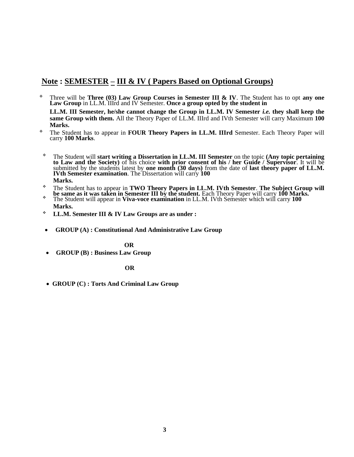#### **Note : SEMESTER – III & IV ( Papers Based on Optional Groups)**

❖ Three will be **Three (03) Law Group Courses in Semester III & IV**. The Student has to opt **any one Law Group** in LL.M. IIIrd and IV Semester. **Once a group opted by the student in** 

**LL.M. III Semester, he/she cannot change the Group in LL.M. IV Semester** *i.e.* **they shall keep the same Group with them.** All the Theory Paper of LL.M. IIIrd and IVth Semester will carry Maximum **100 Marks.**

- ❖ The Student has to appear in **FOUR Theory Papers in LL.M. IIIrd** Semester. Each Theory Paper will carry **100 Marks**.
	- ❖ The Student will **start writing a Dissertation in LL.M. III Semester** on the topic **(Any topic pertaining to Law and the Society)** of his choice **with prior consent of his / her Guide / Supervisor**. It will be submitted by the students latest by **one month (30 days)** from the date of **last theory paper of LL.M. IVth Semester examination**. The Dissertation will carry **100 Marks.**
- ❖ The Student has to appear in **TWO Theory Papers in LL.M. IVth Semester**. **The Subject Group will be same as it was taken in Semester III by the student.** Each Theory Paper will carry **100 Marks.**
- ❖ The Student will appear in **Viva-voce examination** in LL.M. IVth Semester which will carry **100 Marks.**
- ❖ **LL.M. Semester III & IV Law Groups are as under :**
- **GROUP (A) : Constitutional And Administrative Law Group**

#### **OR**

• **GROUP (B) : Business Law Group** 

#### **OR**

• **GROUP (C) : Torts And Criminal Law Group**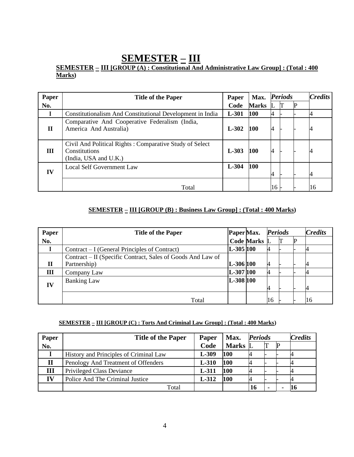### **SEMESTER – III**

#### **SEMESTER – III [GROUP (A) : Constitutional And Administrative Law Group] : (Total : 400 Marks)**

| Paper | <b>Title of the Paper</b>                                                                         | Paper   | Max.         |                | <b>Periods</b> | <b>Credits</b> |
|-------|---------------------------------------------------------------------------------------------------|---------|--------------|----------------|----------------|----------------|
| No.   |                                                                                                   | Code    | <b>Marks</b> |                |                |                |
|       | Constitutionalism And Constitutional Development in India                                         | $L-301$ | 100          | 4              |                |                |
| П     | Comparative And Cooperative Federalism (India,<br>America And Australia)                          | $L-302$ | <b>100</b>   | 4              |                |                |
| Ш     | Civil And Political Rights: Comparative Study of Select<br>Constitutions<br>(India, USA and U.K.) | $L-303$ | 100          | 4              |                |                |
| IV    | <b>Local Self Government Law</b>                                                                  | $L-304$ | 100          | $\overline{4}$ |                | 4              |
|       | Total                                                                                             |         |              | 16             |                | 16             |

#### **SEMESTER – III [GROUP (B) : Business Law Group] : (Total : 400 Marks)**

| Paper        | <b>Title of the Paper</b>                                                   | Paper Max. |                     | <b>Periods</b> |  | <b>Credits</b> |
|--------------|-----------------------------------------------------------------------------|------------|---------------------|----------------|--|----------------|
| No.          |                                                                             |            | <b>Code Marks L</b> |                |  |                |
|              | Contract – I (General Principles of Contract)                               | L-305 100  |                     | 4              |  |                |
| $\mathbf{I}$ | Contract – II (Specific Contract, Sales of Goods And Law of<br>Partnership) | L-306 100  |                     | 4              |  | 4              |
| Ш            | Company Law                                                                 | L-307 100  |                     | 4              |  |                |
| IV           | <b>Banking Law</b>                                                          | L-308 100  |                     | 4              |  |                |
|              | Total                                                                       |            |                     | 16             |  | 16             |

#### **SEMESTER – III [GROUP (C) : Torts And Criminal Law Group] : (Total : 400 Marks)**

| Paper        | <b>Title of the Paper</b>              | Paper   | Max.    | <b>Periods</b> |  |    | <b>Credits</b> |
|--------------|----------------------------------------|---------|---------|----------------|--|----|----------------|
| No.          |                                        | Code    | Marks L |                |  | IP |                |
|              | History and Principles of Criminal Law | L-309   | 100     |                |  |    |                |
| $\mathbf{I}$ | Penology And Treatment of Offenders    | $L-310$ | 100     |                |  |    |                |
| Ш            | Privileged Class Deviance              | L-311   | 100     |                |  |    |                |
| TV           | Police And The Criminal Justice        | L-312   | 100     |                |  |    |                |
|              | Total                                  |         |         | 16             |  |    |                |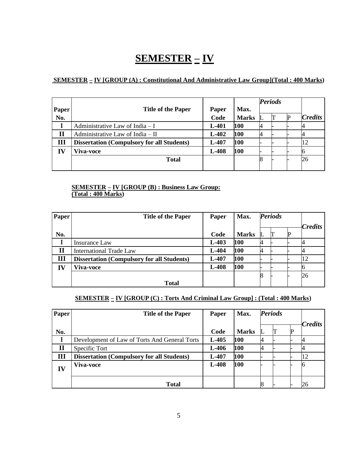## **SEMESTER – IV**

#### **SEMESTER – IV [GROUP (A) : Constitutional And Administrative Law Group](Total : 400 Marks)**

|       |                                                   |         |              | <b>Periods</b> |  |  |                |
|-------|---------------------------------------------------|---------|--------------|----------------|--|--|----------------|
| Paper | <b>Title of the Paper</b>                         | Paper   | Max.         |                |  |  |                |
| No.   |                                                   | Code    | <b>Marks</b> |                |  |  | <b>Credits</b> |
|       | Administrative Law of India - I                   | $L-401$ | 100          |                |  |  |                |
| П     | Administrative Law of India - II                  | $L-402$ | 100          |                |  |  |                |
| Ш     | <b>Dissertation (Compulsory for all Students)</b> | $L-407$ | 100          |                |  |  |                |
| IV    | Viva-voce                                         | $L-408$ | 100          |                |  |  |                |
|       | <b>Total</b>                                      |         |              |                |  |  | 26             |
|       |                                                   |         |              |                |  |  |                |

#### **SEMESTER – IV [GROUP (B) : Business Law Group: (Total : 400 Marks)**

| Paper | <b>Title of the Paper</b>                         | Paper   | Max.         | <b>Periods</b> |  |  |                |
|-------|---------------------------------------------------|---------|--------------|----------------|--|--|----------------|
|       |                                                   |         |              |                |  |  | <b>Credits</b> |
| No.   |                                                   | Code    | <b>Marks</b> |                |  |  |                |
|       | Insurance Law                                     | $L-403$ | 100          |                |  |  |                |
| П     | <b>International Trade Law</b>                    | L-404   | 100          |                |  |  |                |
| Ш     | <b>Dissertation (Compulsory for all Students)</b> | $L-407$ | 100          |                |  |  |                |
| IV    | Viva-voce                                         | L-408   | 100          |                |  |  |                |
|       |                                                   |         |              |                |  |  | 26             |
|       | <b>Total</b>                                      |         |              |                |  |  |                |

#### **SEMESTER – IV [GROUP (C) : Torts And Criminal Law Group] : (Total : 400 Marks)**

| Paper        | <b>Title of the Paper</b>                         | Paper   | Max.         | <b>Periods</b> |  |                |
|--------------|---------------------------------------------------|---------|--------------|----------------|--|----------------|
|              |                                                   |         |              |                |  | <b>Credits</b> |
| No.          |                                                   | Code    | <b>Marks</b> |                |  |                |
|              | Development of Law of Torts And General Torts     | $L-405$ | 100          |                |  |                |
| $\mathbf{I}$ | Specific Tort                                     | $L-406$ | 100          |                |  |                |
| Ш            | <b>Dissertation (Compulsory for all Students)</b> | $L-407$ | 100          |                |  | 12             |
| IV           | <b>Viva-voce</b>                                  | L-408   | 100          |                |  |                |
|              |                                                   |         |              |                |  |                |
|              | <b>Total</b>                                      |         |              | O              |  | 26             |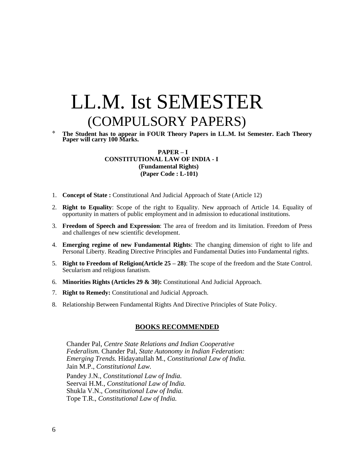# LL.M. Ist SEMESTER (COMPULSORY PAPERS)

❖ **The Student has to appear in FOUR Theory Papers in LL.M. Ist Semester. Each Theory Paper will carry 100 Marks.** 

#### **PAPER – I CONSTITUTIONAL LAW OF INDIA - I (Fundamental Rights) (Paper Code : L-101)**

- 1. **Concept of State :** Constitutional And Judicial Approach of State (Article 12)
- 2. **Right to Equality**: Scope of the right to Equality. New approach of Article 14. Equality of opportunity in matters of public employment and in admission to educational institutions.
- 3. **Freedom of Speech and Expression**: The area of freedom and its limitation. Freedom of Press and challenges of new scientific development.
- 4. **Emerging regime of new Fundamental Rights**: The changing dimension of right to life and Personal Liberty. Reading Directive Principles and Fundamental Duties into Fundamental rights.
- 5. **Right to Freedom of Religion(Article 25 – 28)**: The scope of the freedom and the State Control. Secularism and religious fanatism.
- 6. **Minorities Rights (Articles 29 & 30):** Constitutional And Judicial Approach.
- 7. **Right to Remedy:** Constitutional and Judicial Approach.
- 8. Relationship Between Fundamental Rights And Directive Principles of State Policy.

#### **BOOKS RECOMMENDED**

Chander Pal, *Centre State Relations and Indian Cooperative Federalism.* Chander Pal, *State Autonomy in Indian Federation: Emerging Trends.* Hidayatullah M., *Constitutional Law of India.* Jain M.P., *Constitutional Law.*

Pandey J.N., *Constitutional Law of India.* Seervai H.M., *Constitutional Law of India.* Shukla V.N., *Constitutional Law of India.* Tope T.R., *Constitutional Law of India.*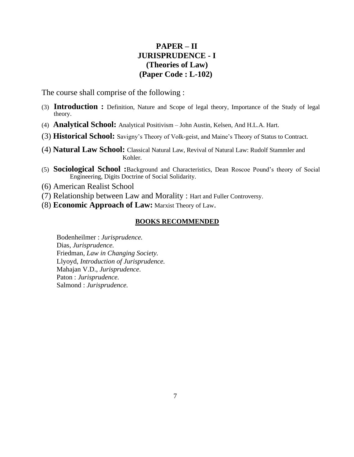#### **PAPER – II JURISPRUDENCE - I (Theories of Law) (Paper Code : L-102)**

The course shall comprise of the following :

- (3) **Introduction :** Definition, Nature and Scope of legal theory, Importance of the Study of legal theory.
- (4) **Analytical School:** Analytical Positivism John Austin, Kelsen, And H.L.A. Hart.
- (3) **Historical School:** Savigny's Theory of Volk-geist, and Maine's Theory of Status to Contract.
- (4) **Natural Law School:** Classical Natural Law, Revival of Natural Law: Rudolf Stammler and Kohler.
- (5) **Sociological School :**Background and Characteristics, Dean Roscoe Pound's theory of Social Engineering, Digits Doctrine of Social Solidarity.
- (6) American Realist School
- (7) Relationship between Law and Morality : Hart and Fuller Controversy.
- (8) **Economic Approach of Law:** Marxist Theory of Law.

#### **BOOKS RECOMMENDED**

Bodenheilmer : *Jurisprudence.* Dias, *Jurisprudence.* Friedman, *Law in Changing Society.* Llyoyd, *Introduction of Jurisprudence.* Mahajan V.D., *Jurisprudence*. Paton : *Jurisprudence.* Salmond : *Jurisprudence.*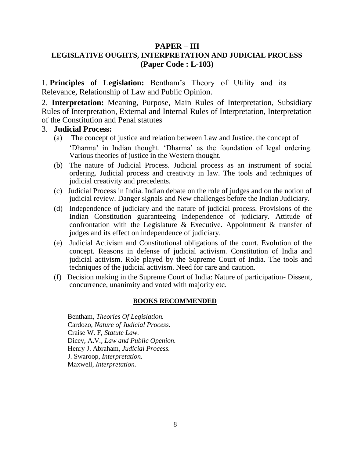#### **PAPER – III LEGISLATIVE OUGHTS, INTERPRETATION AND JUDICIAL PROCESS (Paper Code : L-103)**

1. **Principles of Legislation:** Bentham's Theory of Utility and its Relevance, Relationship of Law and Public Opinion.

2. **Interpretation:** Meaning, Purpose, Main Rules of Interpretation, Subsidiary Rules of Interpretation, External and Internal Rules of Interpretation, Interpretation of the Constitution and Penal statutes

#### 3. **Judicial Process:**

- (a) The concept of justice and relation between Law and Justice. the concept of 'Dharma' in Indian thought. 'Dharma' as the foundation of legal ordering. Various theories of justice in the Western thought.
- (b) The nature of Judicial Process. Judicial process as an instrument of social ordering. Judicial process and creativity in law. The tools and techniques of judicial creativity and precedents.
- (c) Judicial Process in India. Indian debate on the role of judges and on the notion of judicial review. Danger signals and New challenges before the Indian Judiciary.
- (d) Independence of judiciary and the nature of judicial process. Provisions of the Indian Constitution guaranteeing Independence of judiciary. Attitude of confrontation with the Legislature & Executive. Appointment & transfer of judges and its effect on independence of judiciary.
- (e) Judicial Activism and Constitutional obligations of the court. Evolution of the concept. Reasons in defense of judicial activism. Constitution of India and judicial activism. Role played by the Supreme Court of India. The tools and techniques of the judicial activism. Need for care and caution.
- (f) Decision making in the Supreme Court of India: Nature of participation- Dissent, concurrence, unanimity and voted with majority etc.

#### **BOOKS RECOMMENDED**

Bentham, *Theories Of Legislation.* Cardozo, *Nature of Judicial Process.* Craise W. F, *Statute Law.* Dicey, A.V*., Law and Public Openion.* Henry J. Abraham, *Judicial Process.* J. Swaroop, *Interpretation.* Maxwell, *Interpretation.*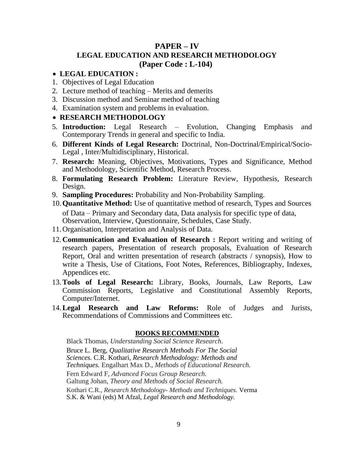#### **PAPER – IV LEGAL EDUCATION AND RESEARCH METHODOLOGY (Paper Code : L-104)**

#### • **LEGAL EDUCATION :**

- 1. Objectives of Legal Education
- 2. Lecture method of teaching Merits and demerits
- 3. Discussion method and Seminar method of teaching
- 4. Examination system and problems in evaluation.

#### • **RESEARCH METHODOLOGY**

- 5. **Introduction:** Legal Research Evolution, Changing Emphasis and Contemporary Trends in general and specific to India.
- 6. **Different Kinds of Legal Research:** Doctrinal, Non-Doctrinal/Empirical/Socio-Legal , Inter/Multidisciplinary, Historical.
- 7. **Research:** Meaning, Objectives, Motivations, Types and Significance, Method and Methodology, Scientific Method, Research Process.
- 8. **Formulating Research Problem:** Literature Review, Hypothesis, Research Design.
- 9. **Sampling Procedures:** Probability and Non-Probability Sampling.
- 10.**Quantitative Method:** Use of quantitative method of research, Types and Sources of Data – Primary and Secondary data, Data analysis for specific type of data, Observation, Interview, Questionnaire, Schedules, Case Study.
- 11.Organisation, Interpretation and Analysis of Data.
- 12.**Communication and Evaluation of Research :** Report writing and writing of research papers, Presentation of research proposals, Evaluation of Research Report, Oral and written presentation of research (abstracts / synopsis), How to write a Thesis, Use of Citations, Foot Notes, References, Bibliography, Indexes, Appendices etc.
- 13.**Tools of Legal Research:** Library, Books, Journals, Law Reports, Law Commission Reports, Legislative and Constitutional Assembly Reports, Computer/Internet.
- 14.**Legal Research and Law Reforms:** Role of Judges and Jurists, Recommendations of Commissions and Committees etc.

#### **BOOKS RECOMMENDED**

Black Thomas, *Understanding Social Science Research*. Bruce L. Berg, *Qualitative Research Methods For The Social Sciences.* C.R. Kothari, *Research Methodology: Methods and Techniques.* Engalhart Max D., *Methods of Educational Research.* Fern Edward F, *Advanced Focus Group Research.* Galtung Johan, *Theory and Methods of Social Research.* Kothari C.R., *Research Methodology- Methods and Techniques.* Verma S.K. & Wani (eds) M Afzal, *Legal Research and Methodology.*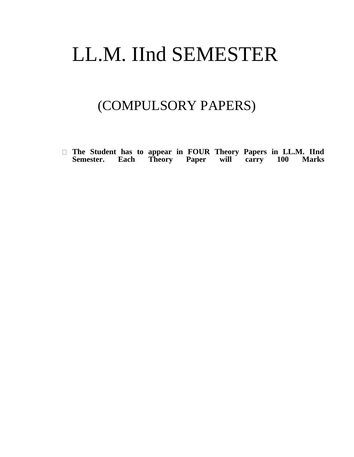# LL.M. IInd SEMESTER

## (COMPULSORY PAPERS)

**The Student has to appear in FOUR Theory Papers in LL.M. IInd Semester. Each Theory Paper will carry 100 Marks**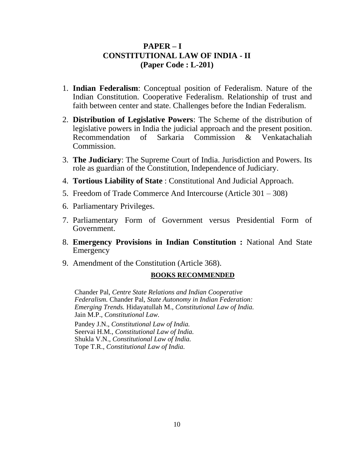#### **PAPER – I CONSTITUTIONAL LAW OF INDIA - II (Paper Code : L-201)**

- 1. **Indian Federalism**: Conceptual position of Federalism. Nature of the Indian Constitution. Cooperative Federalism. Relationship of trust and faith between center and state. Challenges before the Indian Federalism.
- 2. **Distribution of Legislative Powers**: The Scheme of the distribution of legislative powers in India the judicial approach and the present position. Recommendation of Sarkaria Commission & Venkatachaliah Commission.
- 3. **The Judiciary**: The Supreme Court of India. Jurisdiction and Powers. Its role as guardian of the Constitution, Independence of Judiciary.
- 4. **Tortious Liability of State** : Constitutional And Judicial Approach.
- 5. Freedom of Trade Commerce And Intercourse (Article 301 308)
- 6. Parliamentary Privileges.
- 7. Parliamentary Form of Government versus Presidential Form of Government.
- 8. **Emergency Provisions in Indian Constitution :** National And State Emergency
- 9. Amendment of the Constitution (Article 368).

#### **BOOKS RECOMMENDED**

Chander Pal, *Centre State Relations and Indian Cooperative Federalism.* Chander Pal, *State Autonomy in Indian Federation: Emerging Trends.* Hidayatullah M., *Constitutional Law of India.* Jain M.P., *Constitutional Law.* Pandey J.N., *Constitutional Law of India.* Seervai H.M., *Constitutional Law of India.* Shukla V.N., *Constitutional Law of India.* Tope T.R., *Constitutional Law of India.*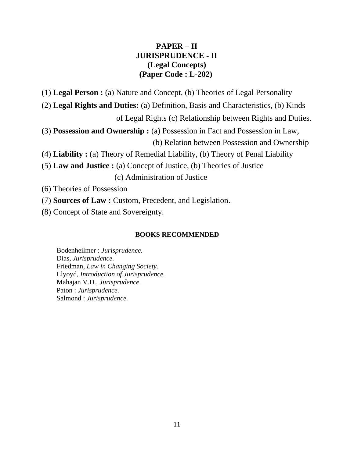#### **PAPER – II JURISPRUDENCE - II (Legal Concepts) (Paper Code : L-202)**

(1) **Legal Person :** (a) Nature and Concept, (b) Theories of Legal Personality

(2) **Legal Rights and Duties:** (a) Definition, Basis and Characteristics, (b) Kinds

of Legal Rights (c) Relationship between Rights and Duties.

(3) **Possession and Ownership :** (a) Possession in Fact and Possession in Law, (b) Relation between Possession and Ownership

(4) **Liability :** (a) Theory of Remedial Liability, (b) Theory of Penal Liability

(5) **Law and Justice :** (a) Concept of Justice, (b) Theories of Justice (c) Administration of Justice

(6) Theories of Possession

(7) **Sources of Law :** Custom, Precedent, and Legislation.

(8) Concept of State and Sovereignty.

#### **BOOKS RECOMMENDED**

Bodenheilmer : *Jurisprudence.* Dias, *Jurisprudence.* Friedman, *Law in Changing Society.* Llyoyd, *Introduction of Jurisprudence.* Mahajan V.D., *Jurisprudence*. Paton : *Jurisprudence.* Salmond : *Jurisprudence.*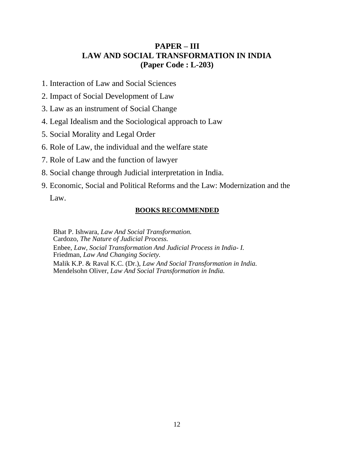#### **PAPER – III LAW AND SOCIAL TRANSFORMATION IN INDIA (Paper Code : L-203)**

- 1. Interaction of Law and Social Sciences
- 2. Impact of Social Development of Law
- 3. Law as an instrument of Social Change
- 4. Legal Idealism and the Sociological approach to Law
- 5. Social Morality and Legal Order
- 6. Role of Law, the individual and the welfare state
- 7. Role of Law and the function of lawyer
- 8. Social change through Judicial interpretation in India.
- 9. Economic, Social and Political Reforms and the Law: Modernization and the

Law.

#### **BOOKS RECOMMENDED**

Bhat P. Ishwara, *Law And Social Transformation.* Cardozo, *The Nature of Judicial Process.* Enbee, *Law, Social Transformation And Judicial Process in India- I.* Friedman, *Law And Changing Society.* Malik K.P. & Raval K.C. (Dr.), *Law And Social Transformation in India.* Mendelsohn Oliver, *Law And Social Transformation in India.*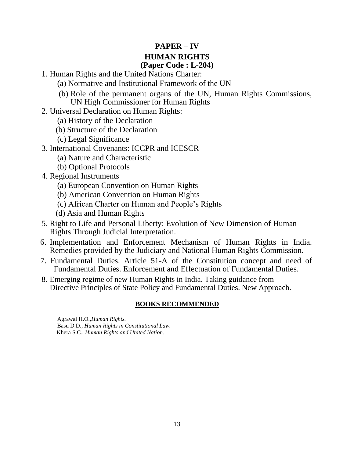#### **PAPER – IV HUMAN RIGHTS (Paper Code : L-204)**

- 1. Human Rights and the United Nations Charter:
	- (a) Normative and Institutional Framework of the UN
	- (b) Role of the permanent organs of the UN, Human Rights Commissions, UN High Commissioner for Human Rights
- 2. Universal Declaration on Human Rights:
	- (a) History of the Declaration
	- (b) Structure of the Declaration
	- (c) Legal Significance
- 3. International Covenants: ICCPR and ICESCR
	- (a) Nature and Characteristic
	- (b) Optional Protocols
- 4. Regional Instruments
	- (a) European Convention on Human Rights
	- (b) American Convention on Human Rights
	- (c) African Charter on Human and People's Rights
	- (d) Asia and Human Rights
- 5. Right to Life and Personal Liberty: Evolution of New Dimension of Human Rights Through Judicial Interpretation.
- 6. Implementation and Enforcement Mechanism of Human Rights in India. Remedies provided by the Judiciary and National Human Rights Commission.
- 7. Fundamental Duties. Article 51-A of the Constitution concept and need of Fundamental Duties. Enforcement and Effectuation of Fundamental Duties.
- 8. Emerging regime of new Human Rights in India. Taking guidance from Directive Principles of State Policy and Fundamental Duties. New Approach.

#### **BOOKS RECOMMENDED**

Agrawal H.O.,*Human Rights.* Basu D.D., *Human Rights in Constitutional Law.* Khera S.C., *Human Rights and United Nation.*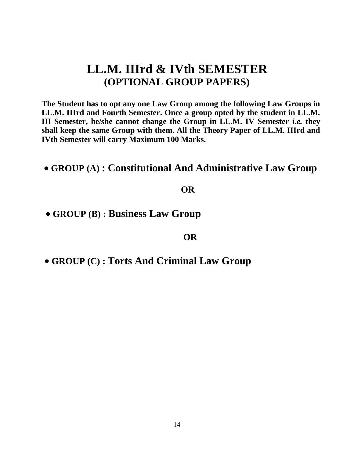## **LL.M. IIIrd & IVth SEMESTER (OPTIONAL GROUP PAPERS)**

**The Student has to opt any one Law Group among the following Law Groups in LL.M. IIIrd and Fourth Semester. Once a group opted by the student in LL.M. III Semester, he/she cannot change the Group in LL.M. IV Semester** *i.e.* **they shall keep the same Group with them. All the Theory Paper of LL.M. IIIrd and IVth Semester will carry Maximum 100 Marks.**

• **GROUP (A) : Constitutional And Administrative Law Group**

#### **OR**

• **GROUP (B) : Business Law Group**

#### **OR**

• **GROUP (C) : Torts And Criminal Law Group**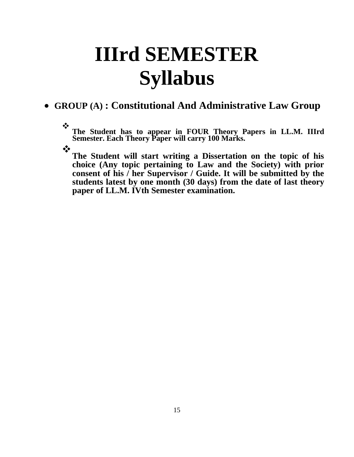# **IIIrd SEMESTER Syllabus**

### • **GROUP (A) : Constitutional And Administrative Law Group**

❖ **The Student has to appear in FOUR Theory Papers in LL.M. IIIrd Semester. Each Theory Paper will carry 100 Marks.** 

❖

**The Student will start writing a Dissertation on the topic of his choice (Any topic pertaining to Law and the Society) with prior consent of his / her Supervisor / Guide. It will be submitted by the students latest by one month (30 days) from the date of last theory paper of LL.M. IVth Semester examination.**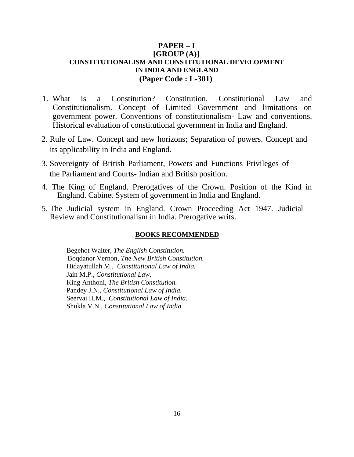#### **PAPER – I [GROUP (A)] CONSTITUTIONALISM AND CONSTITUTIONAL DEVELOPMENT IN INDIA AND ENGLAND (Paper Code : L-301)**

- 1. What is a Constitution? Constitution, Constitutional Law and Constitutionalism. Concept of Limited Government and limitations on government power. Conventions of constitutionalism- Law and conventions. Historical evaluation of constitutional government in India and England.
- 2. Rule of Law. Concept and new horizons; Separation of powers. Concept and its applicability in India and England.
- 3. Sovereignty of British Parliament, Powers and Functions Privileges of the Parliament and Courts- Indian and British position.
- 4. The King of England. Prerogatives of the Crown. Position of the Kind in England. Cabinet System of government in India and England.
- 5. The Judicial system in England. Crown Proceeding Act 1947. Judicial Review and Constitutionalism in India. Prerogative writs.

#### **BOOKS RECOMMENDED**

Begehot Walter, *The English Constitution.* Boqdanor Vernon, *The New British Constitution.* Hidayatullah M., *Constitutional Law of India.* Jain M.P., *Constitutional Law.* King Anthoni, *The British Constitution.* Pandey J.N., *Constitutional Law of India.* Seervai H.M., *Constitutional Law of India.* Shukla V.N., *Constitutional Law of India.*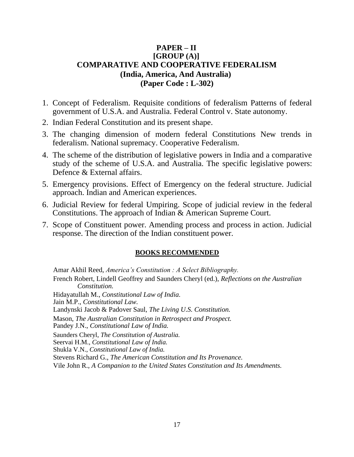#### **PAPER – II [GROUP (A)] COMPARATIVE AND COOPERATIVE FEDERALISM (India, America, And Australia) (Paper Code : L-302)**

- 1. Concept of Federalism. Requisite conditions of federalism Patterns of federal government of U.S.A. and Australia. Federal Control v. State autonomy.
- 2. Indian Federal Constitution and its present shape.
- 3. The changing dimension of modern federal Constitutions New trends in federalism. National supremacy. Cooperative Federalism.
- 4. The scheme of the distribution of legislative powers in India and a comparative study of the scheme of U.S.A. and Australia. The specific legislative powers: Defence & External affairs.
- 5. Emergency provisions. Effect of Emergency on the federal structure. Judicial approach. Indian and American experiences.
- 6. Judicial Review for federal Umpiring. Scope of judicial review in the federal Constitutions. The approach of Indian & American Supreme Court.
- 7. Scope of Constituent power. Amending process and process in action. Judicial response. The direction of the Indian constituent power.

#### **BOOKS RECOMMENDED**

Amar Akhil Reed, *America's Constitution : A Select Bibliography.*

French Robert, Lindell Geoffrey and Saunders Cheryl (ed.), *Reflections on the Australian Constitution.*

Hidayatullah M., *Constitutional Law of India.*

Jain M.P., *Constitutional Law.*

Landynski Jacob & Padover Saul, *The Living U.S. Constitution.*

Mason, *The Australian Constitution in Retrospect and Prospect.*

Pandey J.N., *Constitutional Law of India.*

Saunders Cheryl, *The Constitution of Australia.*

Seervai H.M., *Constitutional Law of India.*

Shukla V.N., *Constitutional Law of India.*

Stevens Richard G., *The American Constitution and Its Provenance.*

Vile John R., *A Companion to the United States Constitution and Its Amendments.*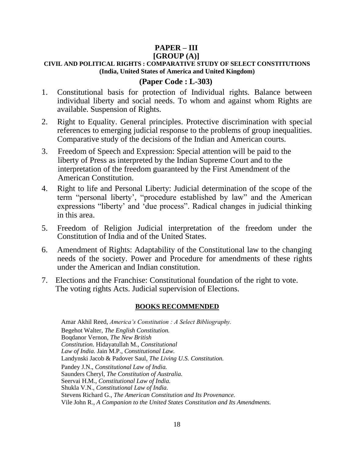### **PAPER – III**

#### **[GROUP (A)] CIVIL AND POLITICAL RIGHTS : COMPARATIVE STUDY OF SELECT CONSTITUTIONS (India, United States of America and United Kingdom)**

#### **(Paper Code : L-303)**

- 1. Constitutional basis for protection of Individual rights. Balance between individual liberty and social needs. To whom and against whom Rights are available. Suspension of Rights.
- 2. Right to Equality. General principles. Protective discrimination with special references to emerging judicial response to the problems of group inequalities. Comparative study of the decisions of the Indian and American courts.
- 3. Freedom of Speech and Expression: Special attention will be paid to the liberty of Press as interpreted by the Indian Supreme Court and to the interpretation of the freedom guaranteed by the First Amendment of the American Constitution.
- 4. Right to life and Personal Liberty: Judicial determination of the scope of the term "personal liberty', "procedure established by law" and the American expressions "liberty' and 'due process". Radical changes in judicial thinking in this area.
- 5. Freedom of Religion Judicial interpretation of the freedom under the Constitution of India and of the United States.
- 6. Amendment of Rights: Adaptability of the Constitutional law to the changing needs of the society. Power and Procedure for amendments of these rights under the American and Indian constitution.
- 7. Elections and the Franchise: Constitutional foundation of the right to vote. The voting rights Acts. Judicial supervision of Elections.

#### **BOOKS RECOMMENDED**

Amar Akhil Reed, *America's Constitution : A Select Bibliography.* Begehot Walter, *The English Constitution.* Boqdanor Vernon, *The New British Constitution.* Hidayatullah M., *Constitutional Law of India.* Jain M.P., *Constitutional Law.* Landynski Jacob & Padover Saul, *The Living U.S. Constitution.* Pandey J.N., *Constitutional Law of India.* Saunders Cheryl, *The Constitution of Australia.* Seervai H.M., *Constitutional Law of India.* Shukla V.N., *Constitutional Law of India.* Stevens Richard G., *The American Constitution and Its Provenance.* Vile John R., *A Companion to the United States Constitution and Its Amendments.*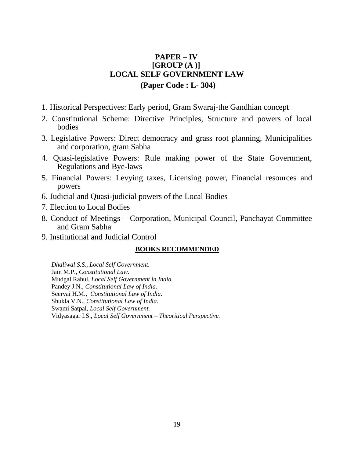#### **PAPER – IV [GROUP (A )] LOCAL SELF GOVERNMENT LAW (Paper Code : L- 304)**

- 1. Historical Perspectives: Early period, Gram Swaraj-the Gandhian concept
- 2. Constitutional Scheme: Directive Principles, Structure and powers of local bodies
- 3. Legislative Powers: Direct democracy and grass root planning, Municipalities and corporation, gram Sabha
- 4. Quasi-legislative Powers: Rule making power of the State Government, Regulations and Bye-laws
- 5. Financial Powers: Levying taxes, Licensing power, Financial resources and powers
- 6. Judicial and Quasi-judicial powers of the Local Bodies
- 7. Election to Local Bodies
- 8. Conduct of Meetings Corporation, Municipal Council, Panchayat Committee and Gram Sabha
- 9. Institutional and Judicial Control

#### **BOOKS RECOMMENDED**

*Dhaliwal S.S., Local Self Government.* Jain M.P., *Constitutional Law.* Mudgal Rahul, *Local Self Government in India.* Pandey J.N., *Constitutional Law of India.* Seervai H.M., *Constitutional Law of India.* Shukla V.N., *Constitutional Law of India.* Swami Satpal, *Local Self Government.* Vidyasagar I.S., *Local Self Government – Theoritical Perspective.*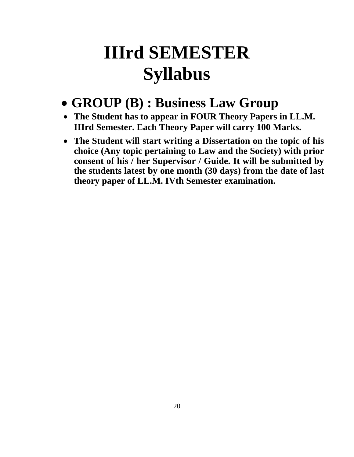# **IIIrd SEMESTER Syllabus**

## • **GROUP (B) : Business Law Group**

- **The Student has to appear in FOUR Theory Papers in LL.M. IIIrd Semester. Each Theory Paper will carry 100 Marks.**
- **The Student will start writing a Dissertation on the topic of his choice (Any topic pertaining to Law and the Society) with prior consent of his / her Supervisor / Guide. It will be submitted by the students latest by one month (30 days) from the date of last theory paper of LL.M. IVth Semester examination.**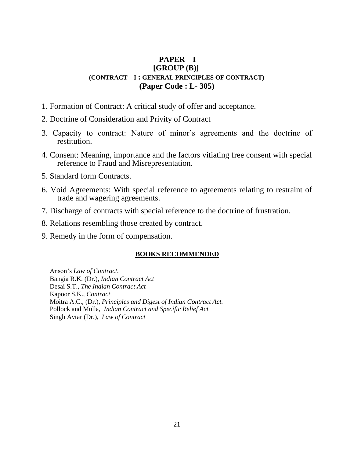#### **PAPER – I [GROUP (B)] (CONTRACT – I : GENERAL PRINCIPLES OF CONTRACT) (Paper Code : L- 305)**

- 1. Formation of Contract: A critical study of offer and acceptance.
- 2. Doctrine of Consideration and Privity of Contract
- 3. Capacity to contract: Nature of minor's agreements and the doctrine of restitution.
- 4. Consent: Meaning, importance and the factors vitiating free consent with special reference to Fraud and Misrepresentation.
- 5. Standard form Contracts.
- 6. Void Agreements: With special reference to agreements relating to restraint of trade and wagering agreements.
- 7. Discharge of contracts with special reference to the doctrine of frustration.
- 8. Relations resembling those created by contract.
- 9. Remedy in the form of compensation.

#### **BOOKS RECOMMENDED**

Anson's *Law of Contract.* Bangia R.K. (Dr.), *Indian Contract Act* Desai S.T., *The Indian Contract Act* Kapoor S.K., *Contract* Moitra A.C., (Dr.), *Principles and Digest of Indian Contract Act.* Pollock and Mulla, *Indian Contract and Specific Relief Act* Singh Avtar (Dr.), *Law of Contract*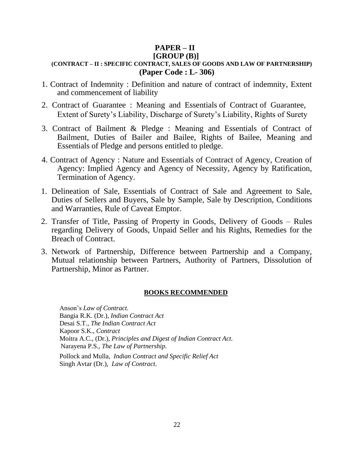#### **PAPER – II [GROUP (B)]**

#### **(CONTRACT – II : SPECIFIC CONTRACT, SALES OF GOODS AND LAW OF PARTNERSHIP) (Paper Code : L- 306)**

- 1. Contract of Indemnity : Definition and nature of contract of indemnity, Extent and commencement of liability
- 2. Contract of Guarantee : Meaning and Essentials of Contract of Guarantee, Extent of Surety's Liability, Discharge of Surety's Liability, Rights of Surety
- 3. Contract of Bailment & Pledge : Meaning and Essentials of Contract of Bailment, Duties of Bailer and Bailee, Rights of Bailee, Meaning and Essentials of Pledge and persons entitled to pledge.
- 4. Contract of Agency : Nature and Essentials of Contract of Agency, Creation of Agency: Implied Agency and Agency of Necessity, Agency by Ratification, Termination of Agency.
- 1. Delineation of Sale, Essentials of Contract of Sale and Agreement to Sale, Duties of Sellers and Buyers, Sale by Sample, Sale by Description, Conditions and Warranties, Rule of Caveat Emptor.
- 2. Transfer of Title, Passing of Property in Goods, Delivery of Goods Rules regarding Delivery of Goods, Unpaid Seller and his Rights, Remedies for the Breach of Contract.
- 3. Network of Partnership, Difference between Partnership and a Company, Mutual relationship between Partners, Authority of Partners, Dissolution of Partnership, Minor as Partner.

#### **BOOKS RECOMMENDED**

Anson's *Law of Contract.* Bangia R.K. (Dr.), *Indian Contract Act* Desai S.T., *The Indian Contract Act* Kapoor S.K., *Contract* Moitra A.C., (Dr.), *Principles and Digest of Indian Contract Act.* Narayena P.S., *The Law of Partnership.* Pollock and Mulla, *Indian Contract and Specific Relief Act* Singh Avtar (Dr.), *Law of Contract*.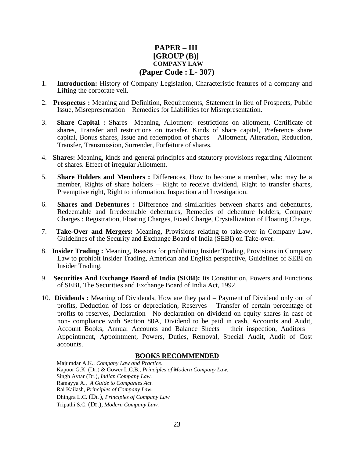#### **PAPER – III [GROUP (B)] COMPANY LAW (Paper Code : L- 307)**

- 1. **Introduction:** History of Company Legislation, Characteristic features of a company and Lifting the corporate veil.
- 2. **Prospectus :** Meaning and Definition, Requirements, Statement in lieu of Prospects, Public Issue, Misrepresentation – Remedies for Liabilities for Misrepresentation.
- 3. **Share Capital :** Shares—Meaning, Allotment- restrictions on allotment, Certificate of shares, Transfer and restrictions on transfer, Kinds of share capital, Preference share capital, Bonus shares, Issue and redemption of shares – Allotment, Alteration, Reduction, Transfer, Transmission, Surrender, Forfeiture of shares.
- 4. **Shares:** Meaning, kinds and general principles and statutory provisions regarding Allotment of shares. Effect of irregular Allotment.
- 5. **Share Holders and Members :** Differences, How to become a member, who may be a member, Rights of share holders – Right to receive dividend, Right to transfer shares, Preemptive right, Right to information, Inspection and Investigation.
- 6. **Shares and Debentures :** Difference and similarities between shares and debentures, Redeemable and Irredeemable debentures, Remedies of debenture holders, Company Charges : Registration, Floating Charges, Fixed Charge, Crystallization of Floating Charge.
- 7. **Take-Over and Mergers:** Meaning, Provisions relating to take-over in Company Law, Guidelines of the Security and Exchange Board of India (SEBI) on Take-over.
- 8. **Insider Trading :** Meaning, Reasons for prohibiting Insider Trading, Provisions in Company Law to prohibit Insider Trading, American and English perspective, Guidelines of SEBI on Insider Trading.
- 9. **Securities And Exchange Board of India (SEBI):** Its Constitution, Powers and Functions of SEBI, The Securities and Exchange Board of India Act, 1992.
- 10. **Dividends :** Meaning of Dividends, How are they paid Payment of Dividend only out of profits, Deduction of loss or depreciation, Reserves – Transfer of certain percentage of profits to reserves, Declaration—No declaration on dividend on equity shares in case of non- compliance with Section 80A, Dividend to be paid in cash, Accounts and Audit, Account Books, Annual Accounts and Balance Sheets – their inspection, Auditors – Appointment, Appointment, Powers, Duties, Removal, Special Audit, Audit of Cost accounts.

#### **BOOKS RECOMMENDED**

Majumdar A.K., *Company Law and Practice*. Kapoor G.K. (Dr.) & Gower L.C.B., *Principles of Modern Company Law.* Singh Avtar (Dr.), *Indian Company Law.* Ramayya A., *A Guide to Companies Act.* Rai Kailash, *Principles of Company Law.* Dhingra L.C. (Dr.), *Principles of Company Law* Tripathi S.C. (Dr.), *Modern Company Law.*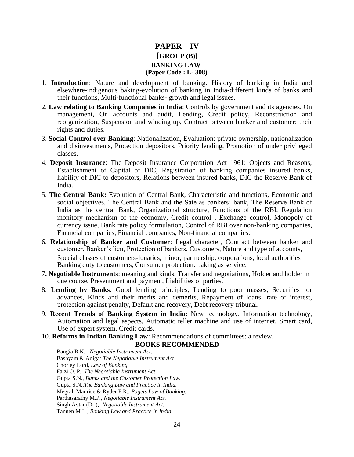#### **PAPER – IV [GROUP (B)] BANKING LAW (Paper Code : L- 308)**

- 1. **Introduction**: Nature and development of banking. History of banking in India and elsewhere-indigenous baking-evolution of banking in India-different kinds of banks and their functions, Multi-functional banks- growth and legal issues.
- 2. **Law relating to Banking Companies in India**: Controls by government and its agencies. On management, On accounts and audit, Lending, Credit policy, Reconstruction and reorganization, Suspension and winding up, Contract between banker and customer; their rights and duties.
- 3. **Social Control over Banking**: Nationalization, Evaluation: private ownership, nationalization and disinvestments, Protection depositors, Priority lending, Promotion of under privileged classes.
- 4. **Deposit Insurance**: The Deposit Insurance Corporation Act 1961: Objects and Reasons, Establishment of Capital of DIC, Registration of banking companies insured banks, liability of DIC to depositors, Relations between insured banks, DIC the Reserve Bank of India.
- 5. **The Central Bank:** Evolution of Central Bank, Characteristic and functions, Economic and social objectives, The Central Bank and the Sate as bankers' bank, The Reserve Bank of India as the central Bank, Organizational structure, Functions of the RBI, Regulation monitory mechanism of the economy, Credit control , Exchange control, Monopoly of currency issue, Bank rate policy formulation, Control of RBI over non-banking companies, Financial companies, Financial companies, Non-financial companies.
- 6. **Relationship of Banker and Customer**: Legal character, Contract between banker and customer, Banker's lien, Protection of bankers, Customers, Nature and type of accounts, Special classes of customers-lunatics, minor, partnership, corporations, local authorities Banking duty to customers, Consumer protection: baking as service.
- 7**. Negotiable Instruments**: meaning and kinds, Transfer and negotiations, Holder and holder in due course, Presentment and payment, Liabilities of parties.
- 8. **Lending by Banks**: Good lending principles, Lending to poor masses, Securities for advances, Kinds and their merits and demerits, Repayment of loans: rate of interest, protection against penalty, Default and recovery, Debt recovery tribunal.
- 9. **Recent Trends of Banking System in India**: New technology, Information technology, Automation and legal aspects, Automatic teller machine and use of internet, Smart card, Use of expert system, Credit cards.
- 10. **Reforms in Indian Banking Law**: Recommendations of committees: a review. **BOOKS RECOMMENDED**

Bangia R.K., *Negotiable Instrument Act*. Bashyam & Adiga: *The Negotiable Instrument Act.* Chorley Lord, *Law of Banking.* Faizi O..P., *The Negotiable Instrument Act*. Gupta S.N., *Banks and the Customer Protection Law.* Gupta S.N.,*The Banking Law and Practice in India.* Megrah Maurice & Ryder F.R., *Pagets Law of Banking.* Parthasarathy M.P., *Negotiable Instrument Act.* Singh Avtar (Dr.), *Negotiable Instrument Act.* Tannen M.L., *Banking Law and Practice in India*.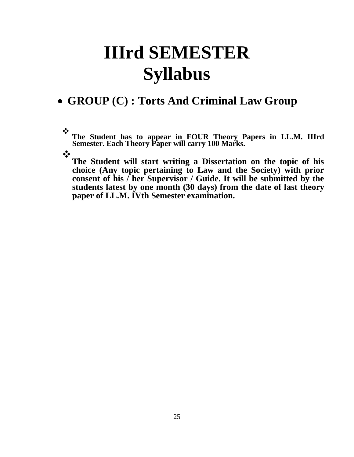# **IIIrd SEMESTER Syllabus**

### • **GROUP (C) : Torts And Criminal Law Group**

❖ **The Student has to appear in FOUR Theory Papers in LL.M. IIIrd Semester. Each Theory Paper will carry 100 Marks.** 

❖

**The Student will start writing a Dissertation on the topic of his choice (Any topic pertaining to Law and the Society) with prior consent of his / her Supervisor / Guide. It will be submitted by the students latest by one month (30 days) from the date of last theory paper of LL.M. IVth Semester examination.**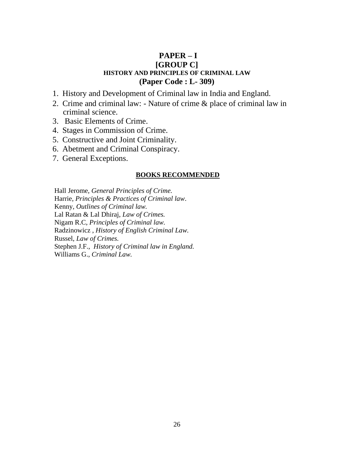#### **PAPER – I [GROUP C] HISTORY AND PRINCIPLES OF CRIMINAL LAW (Paper Code : L- 309)**

- 1. History and Development of Criminal law in India and England.
- 2. Crime and criminal law: Nature of crime & place of criminal law in criminal science.
- 3. Basic Elements of Crime.
- 4. Stages in Commission of Crime.
- 5. Constructive and Joint Criminality.
- 6. Abetment and Criminal Conspiracy.
- 7. General Exceptions.

#### **BOOKS RECOMMENDED**

Hall Jerome, *General Principles of Crime.* Harrie, *Principles & Practices of Criminal law*. Kenny, *Outlines of Criminal law.* Lal Ratan & Lal Dhiraj, *Law of Crimes.* Nigam R.C, *Principles of Criminal law.* Radzinowicz , *History of English Criminal Law.* Russel, *Law of Crimes.* Stephen J.F., *History of Criminal law in England.* Williams G., *Criminal Law.*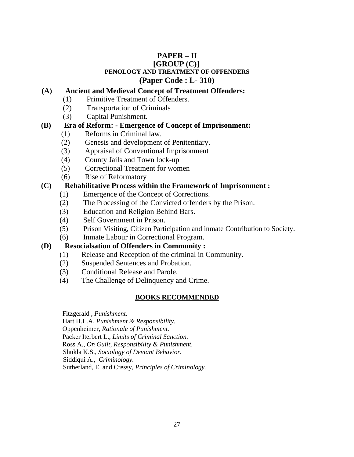#### **PAPER – II [GROUP (C)] PENOLOGY AND TREATMENT OF OFFENDERS (Paper Code : L- 310)**

#### **(A) Ancient and Medieval Concept of Treatment Offenders:**

- (1) Primitive Treatment of Offenders.
- (2) Transportation of Criminals
- (3) Capital Punishment.

#### **(B) Era of Reform: - Emergence of Concept of Imprisonment:**

- (1) Reforms in Criminal law.
- (2) Genesis and development of Penitentiary.
- (3) Appraisal of Conventional Imprisonment
- (4) County Jails and Town lock-up
- (5) Correctional Treatment for women
- (6) Rise of Reformatory

#### **(C) Rehabilitative Process within the Framework of Imprisonment :**

- (1) Emergence of the Concept of Corrections.
- (2) The Processing of the Convicted offenders by the Prison.
- (3) Education and Religion Behind Bars.
- (4) Self Government in Prison.
- (5) Prison Visiting, Citizen Participation and inmate Contribution to Society.
- (6) Inmate Labour in Correctional Program.

#### **(D) Resocialsation of Offenders in Community :**

- (1) Release and Reception of the criminal in Community.
- (2) Suspended Sentences and Probation.
- (3) Conditional Release and Parole.
- (4) The Challenge of Delinquency and Crime.

#### **BOOKS RECOMMENDED**

Fitzgerald , *Punishment.*

Hart H.L.A, *Punishment & Responsibility.*

Oppenheimer, *Rationale of Punishment.*

Packer Iterbert L., *Limits of Criminal Sanction.*

Ross A., *On Guilt, Responsibility & Punishment.*

Shukla K.S., *Sociology of Deviant Behavior.*

Siddiqui A., *Criminology.*

Sutherland, E. and Cressy, *Principles of Criminology.*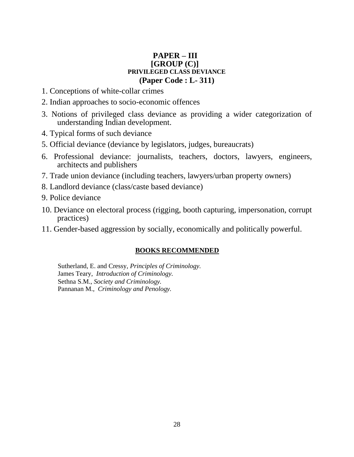#### **PAPER – III [GROUP (C)] PRIVILEGED CLASS DEVIANCE (Paper Code : L- 311)**

- 1. Conceptions of white-collar crimes
- 2. Indian approaches to socio-economic offences
- 3. Notions of privileged class deviance as providing a wider categorization of understanding Indian development.
- 4. Typical forms of such deviance
- 5. Official deviance (deviance by legislators, judges, bureaucrats)
- 6. Professional deviance: journalists, teachers, doctors, lawyers, engineers, architects and publishers
- 7. Trade union deviance (including teachers, lawyers/urban property owners)
- 8. Landlord deviance (class/caste based deviance)
- 9. Police deviance
- 10. Deviance on electoral process (rigging, booth capturing, impersonation, corrupt practices)
- 11. Gender-based aggression by socially, economically and politically powerful.

#### **BOOKS RECOMMENDED**

Sutherland, E. and Cressy, *Principles of Criminology.* James Teary, *Introduction of Criminology.* Sethna S.M., *Society and Criminology.* Pannanan M., *Criminology and Penology.*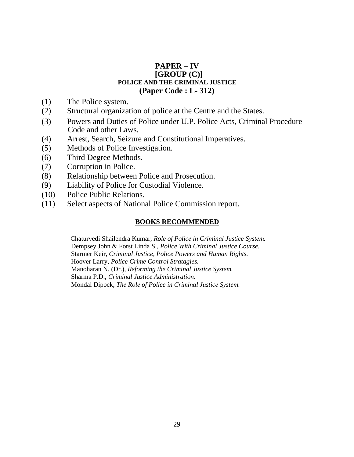#### **PAPER – IV [GROUP (C)] POLICE AND THE CRIMINAL JUSTICE (Paper Code : L- 312)**

- (1) The Police system.
- (2) Structural organization of police at the Centre and the States.
- (3) Powers and Duties of Police under U.P. Police Acts, Criminal Procedure Code and other Laws.
- (4) Arrest, Search, Seizure and Constitutional Imperatives.
- (5) Methods of Police Investigation.
- (6) Third Degree Methods.
- (7) Corruption in Police.
- (8) Relationship between Police and Prosecution.
- (9) Liability of Police for Custodial Violence.
- (10) Police Public Relations.
- (11) Select aspects of National Police Commission report.

#### **BOOKS RECOMMENDED**

Chaturvedi Shailendra Kumar, *Role of Police in Criminal Justice System.* Dempsey John & Forst Linda S., *Police With Criminal Justice Course.* Starmer Keir, *Criminal Justice, Police Powers and Human Rights.* Hoover Larry, *Police Crime Control Stratagies.* Manoharan N. (Dr.), *Reforming the Criminal Justice System.* Sharma P.D., *Criminal Justice Administration.* Mondal Dipock, *The Role of Police in Criminal Justice System.*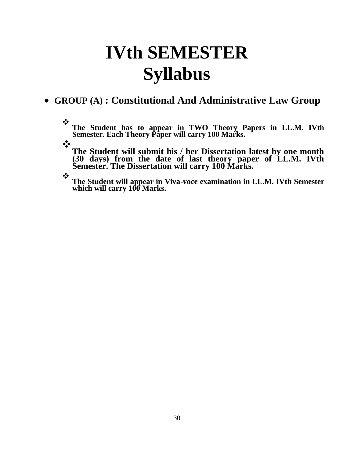# **IVth SEMESTER Syllabus**

### • **GROUP (A) : Constitutional And Administrative Law Group**

❖ **The Student has to appear in TWO Theory Papers in LL.M. IVth Semester. Each Theory Paper will carry 100 Marks.** 

❖

**The Student will submit his / her Dissertation latest by one month (30 days) from the date of last theory paper of LL.M. IVth Semester. The Dissertation will carry 100 Marks.** 

❖ **The Student will appear in Viva-voce examination in LL.M. IVth Semester which will carry 100 Marks.**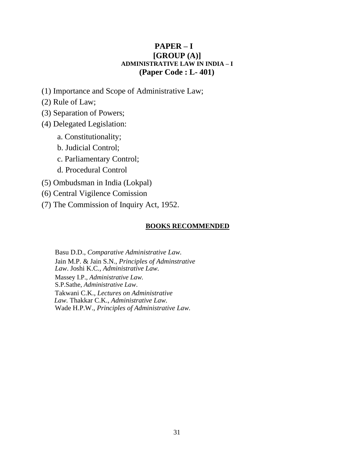#### **PAPER – I [GROUP (A)] ADMINISTRATIVE LAW IN INDIA – I (Paper Code : L- 401)**

- (1) Importance and Scope of Administrative Law;
- (2) Rule of Law;
- (3) Separation of Powers;
- (4) Delegated Legislation:
	- a. Constitutionality;
	- b. Judicial Control;
	- c. Parliamentary Control;
	- d. Procedural Control
- (5) Ombudsman in India (Lokpal)
- (6) Central Vigilence Comission
- (7) The Commission of Inquiry Act, 1952.

#### **BOOKS RECOMMENDED**

Basu D.D., *Comparative Administrative Law.* Jain M.P. & Jain S.N., *Principles of Adminstrative Law*. Joshi K.C., *Administrative Law.* Massey I.P., *Administrative Law.* S.P.Sathe, *Administrative Law*. Takwani C.K., *Lectures on Administrative Law.* Thakkar C.K., *Administrative Law.* Wade H.P.W., *Principles of Administrative Law.*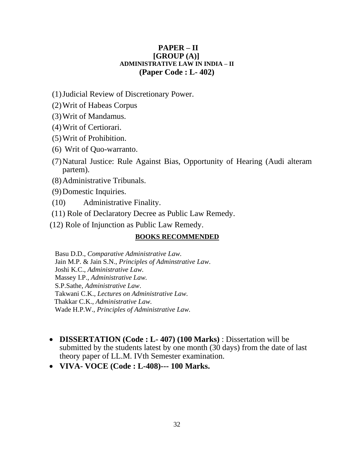#### **PAPER – II [GROUP (A)] ADMINISTRATIVE LAW IN INDIA – II (Paper Code : L- 402)**

(1)Judicial Review of Discretionary Power.

- (2)Writ of Habeas Corpus
- (3)Writ of Mandamus.
- (4)Writ of Certiorari.
- (5)Writ of Prohibition.
- (6) Writ of Quo-warranto.
- (7)Natural Justice: Rule Against Bias, Opportunity of Hearing (Audi alteram partem).
- (8)Administrative Tribunals.
- (9)Domestic Inquiries.
- (10) Administrative Finality.
- (11) Role of Declaratory Decree as Public Law Remedy.
- (12) Role of Injunction as Public Law Remedy.

#### **BOOKS RECOMMENDED**

Basu D.D., *Comparative Administrative Law.* Jain M.P. & Jain S.N., *Principles of Adminstrative Law*. Joshi K.C., *Administrative Law.* Massey I.P., *Administrative Law.* S.P.Sathe, *Administrative Law*. Takwani C.K., *Lectures on Administrative Law.* Thakkar C.K., *Administrative Law.* Wade H.P.W., *Principles of Administrative Law.*

- **DISSERTATION (Code : L- 407) (100 Marks)** : Dissertation will be submitted by the students latest by one month (30 days) from the date of last theory paper of LL.M. IVth Semester examination.
- **VIVA- VOCE (Code : L-408)--- 100 Marks.**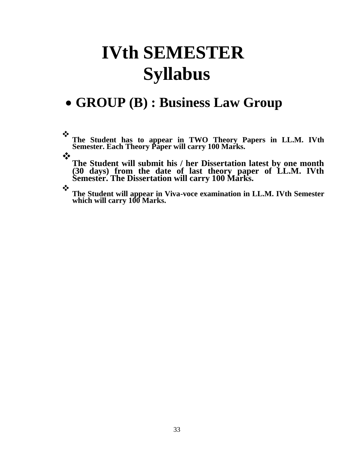# **IVth SEMESTER Syllabus**

## • **GROUP (B) : Business Law Group**

❖ **The Student has to appear in TWO Theory Papers in LL.M. IVth Semester. Each Theory Paper will carry 100 Marks.** 

❖

**The Student will submit his / her Dissertation latest by one month (30 days) from the date of last theory paper of LL.M. IVth Semester. The Dissertation will carry 100 Marks.** 

❖ **The Student will appear in Viva-voce examination in LL.M. IVth Semester which will carry 100 Marks.**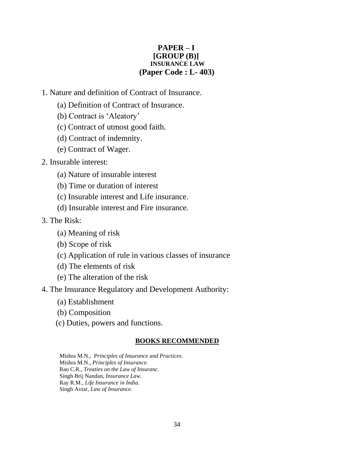#### **PAPER – I [GROUP (B)] INSURANCE LAW (Paper Code : L- 403)**

- 1. Nature and definition of Contract of Insurance.
	- (a) Definition of Contract of Insurance.
	- (b) Contract is 'Aleatory'
	- (c) Contract of utmost good faith.
	- (d) Contract of indemnity.
	- (e) Contract of Wager.
- 2. Insurable interest:
	- (a) Nature of insurable interest
	- (b) Time or duration of interest
	- (c) Insurable interest and Life insurance.
	- (d) Insurable interest and Fire insurance.
- 3. The Risk:
	- (a) Meaning of risk
	- (b) Scope of risk
	- (c) Application of rule in various classes of insurance
	- (d) The elements of risk
	- (e) The alteration of the risk
- 4. The Insurance Regulatory and Development Authority:
	- (a) Establishment
	- (b) Composition
	- (c) Duties, powers and functions.

#### **BOOKS RECOMMENDED**

Mishra M.N., *Principles of Insurance and Practices.* Mishra M.N., *Principles of Insurance.* Rao C.R., *Treaties on the Law of Insuranc.* Singh Brij Nandan, *Insurance Law.* Ray R.M., *Life Insurance in India*. Singh Avtar, *Law of Insurance.*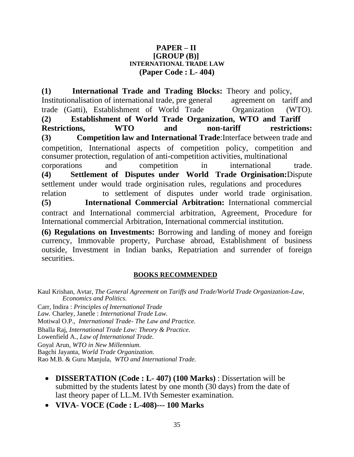#### **PAPER – II [GROUP (B)] INTERNATIONAL TRADE LAW (Paper Code : L- 404)**

**(1) International Trade and Trading Blocks:** Theory and policy, Institutionalisation of international trade, pre general agreement on tariff and trade (Gatti), Establishment of World Trade Organization (WTO). **(2) Establishment of World Trade Organization, WTO and Tariff Restrictions, WTO and non-tariff restrictions: (3) Competition law and International Trade**:Interface between trade and competition, International aspects of competition policy, competition and consumer protection, regulation of anti-competition activities, multinational corporations and competition in international trade. **(4) Settlement of Disputes under World Trade Orginisation:**Dispute settlement under would trade orginisation rules, regulations and procedures relation to settlement of disputes under world trade orginisation. **(5) International Commercial Arbitration:** International commercial contract and International commercial arbitration, Agreement, Procedure for International commercial Arbitration, International commercial institution.

**(6) Regulations on Investments:** Borrowing and landing of money and foreign currency, Immovable property, Purchase abroad, Establishment of business outside, Investment in Indian banks, Repatriation and surrender of foreign securities.

#### **BOOKS RECOMMENDED**

Kaul Krishan, Avtar, *The General Agreement on Tariffs and Trade/World Trade Organization-Law, Economics and Politics.* Carr, Indira : *Principles of International Trade Law.* Charley, Janetle : *International Trade Law.* Motiwal O.P., *International Trade- The Law and Practice.* Bhalla Raj, *International Trade Law: Theory & Practice.* Lowenfield A., *Law of International Trade.* Goyal Arun, *WTO in New Millennium*. Bagchi Jayanta, *World Trade Organization.* Rao M.B. & Guru Manjula, *WTO and International Trade.*

- **DISSERTATION (Code : L- 407) (100 Marks)** : Dissertation will be submitted by the students latest by one month (30 days) from the date of last theory paper of LL.M. IVth Semester examination.
- **VIVA- VOCE (Code : L-408)--- 100 Marks**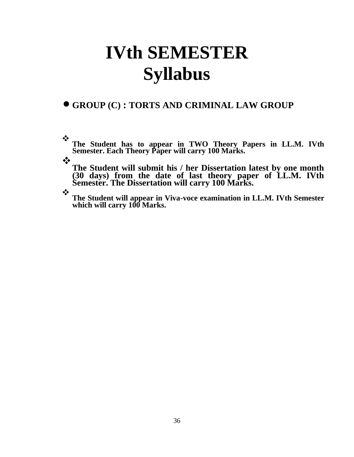# **IVth SEMESTER Syllabus**

### • **GROUP (C) : TORTS AND CRIMINAL LAW GROUP**

❖ **The Student has to appear in TWO Theory Papers in LL.M. IVth Semester. Each Theory Paper will carry 100 Marks.** 

❖

**The Student will submit his / her Dissertation latest by one month (30 days) from the date of last theory paper of LL.M. IVth Semester. The Dissertation will carry 100 Marks.** 

❖ **The Student will appear in Viva-voce examination in LL.M. IVth Semester which will carry 100 Marks.**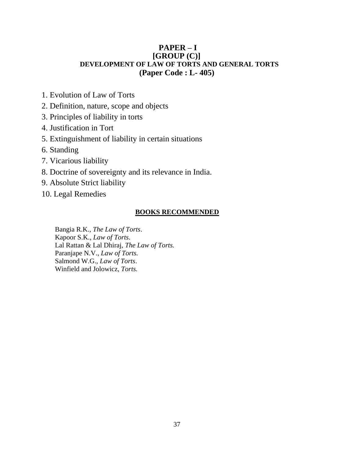#### **PAPER – I [GROUP (C)] DEVELOPMENT OF LAW OF TORTS AND GENERAL TORTS (Paper Code : L- 405)**

- 1. Evolution of Law of Torts
- 2. Definition, nature, scope and objects
- 3. Principles of liability in torts
- 4. Justification in Tort
- 5. Extinguishment of liability in certain situations
- 6. Standing
- 7. Vicarious liability
- 8. Doctrine of sovereignty and its relevance in India.
- 9. Absolute Strict liability
- 10. Legal Remedies

#### **BOOKS RECOMMENDED**

Bangia R.K., *The Law of Torts*. Kapoor S.K., *Law of Torts*. Lal Rattan & Lal Dhiraj, *The Law of Torts.* Paranjape N.V., *Law of Torts.* Salmond W.G., *Law of Torts*. Winfield and Jolowicz, *Torts.*